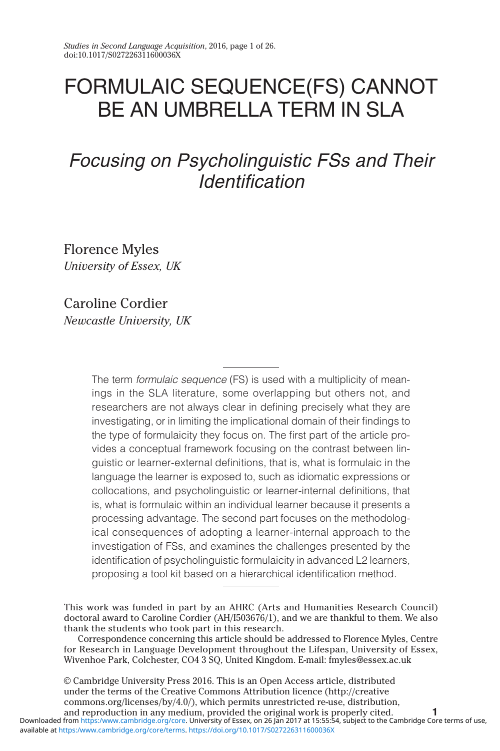# FORMULAIC SEQUENCE(FS) CANNOT BE AN UMBRELLA TERM IN SLA

## *Focusing on Psycholinguistic FSs and Their <u>Identification</u>*

Florence Myles *University of Essex, UK* 

Caroline Cordier *Newcastle University , UK* 

> The term *formulaic sequence* (FS) is used with a multiplicity of meanings in the SLA literature, some overlapping but others not, and researchers are not always clear in defining precisely what they are investigating, or in limiting the implicational domain of their findings to the type of formulaicity they focus on. The first part of the article provides a conceptual framework focusing on the contrast between linguistic or learner-external definitions, that is, what is formulaic in the language the learner is exposed to, such as idiomatic expressions or collocations, and psycholinguistic or learner-internal definitions, that is, what is formulaic within an individual learner because it presents a processing advantage. The second part focuses on the methodological consequences of adopting a learner-internal approach to the investigation of FSs, and examines the challenges presented by the identification of psycholinguistic formulaicity in advanced L2 learners, proposing a tool kit based on a hierarchical identification method.

This work was funded in part by an AHRC (Arts and Humanities Research Council) doctoral award to Caroline Cordier (AH/I503676/1), and we are thankful to them. We also thank the students who took part in this research.

Correspondence concerning this article should be addressed to Florence Myles, Centre for Research in Language Development throughout the Lifespan, University of Essex, Wivenhoe Park, Colchester, CO4 3 SQ, United Kingdom. E-mail: fmyles@essex.ac.uk

© Cambridge University Press 2016. This is an Open Access article, distributed under the terms of the Creative Commons Attribution licence (http://creative commons.org/licenses/by/4.0/), which permits unrestricted re-use, distribution,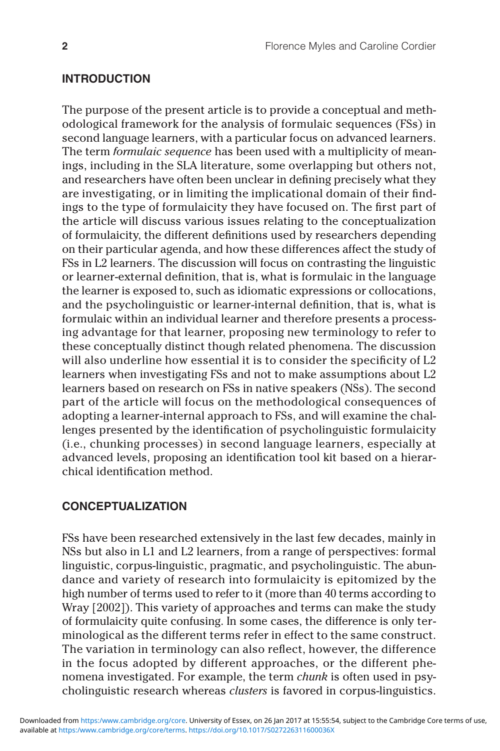#### **INTRODUCTION**

The purpose of the present article is to provide a conceptual and methodological framework for the analysis of formulaic sequences (FSs) in second language learners, with a particular focus on advanced learners. The term *formulaic sequence* has been used with a multiplicity of meanings, including in the SLA literature, some overlapping but others not, and researchers have often been unclear in defining precisely what they are investigating, or in limiting the implicational domain of their findings to the type of formulaicity they have focused on. The first part of the article will discuss various issues relating to the conceptualization of formulaicity, the different definitions used by researchers depending on their particular agenda, and how these differences affect the study of FSs in L2 learners. The discussion will focus on contrasting the linguistic or learner-external definition, that is, what is formulaic in the language the learner is exposed to, such as idiomatic expressions or collocations, and the psycholinguistic or learner-internal definition, that is, what is formulaic within an individual learner and therefore presents a processing advantage for that learner, proposing new terminology to refer to these conceptually distinct though related phenomena. The discussion will also underline how essential it is to consider the specificity of  $L2$ learners when investigating FSs and not to make assumptions about L2 learners based on research on FSs in native speakers (NSs). The second part of the article will focus on the methodological consequences of adopting a learner-internal approach to FSs, and will examine the challenges presented by the identification of psycholinguistic formulaicity (i.e., chunking processes) in second language learners, especially at advanced levels, proposing an identification tool kit based on a hierarchical identification method.

#### **CONCEPTUALIZATION**

FSs have been researched extensively in the last few decades, mainly in NSs but also in L1 and L2 learners, from a range of perspectives: formal linguistic, corpus-linguistic, pragmatic, and psycholinguistic. The abundance and variety of research into formulaicity is epitomized by the high number of terms used to refer to it (more than 40 terms according to Wray [2002]). This variety of approaches and terms can make the study of formulaicity quite confusing. In some cases, the difference is only terminological as the different terms refer in effect to the same construct. The variation in terminology can also reflect, however, the difference in the focus adopted by different approaches, or the different phenomena investigated. For example, the term *chunk* is often used in psycholinguistic research whereas *clusters* is favored in corpus-linguistics.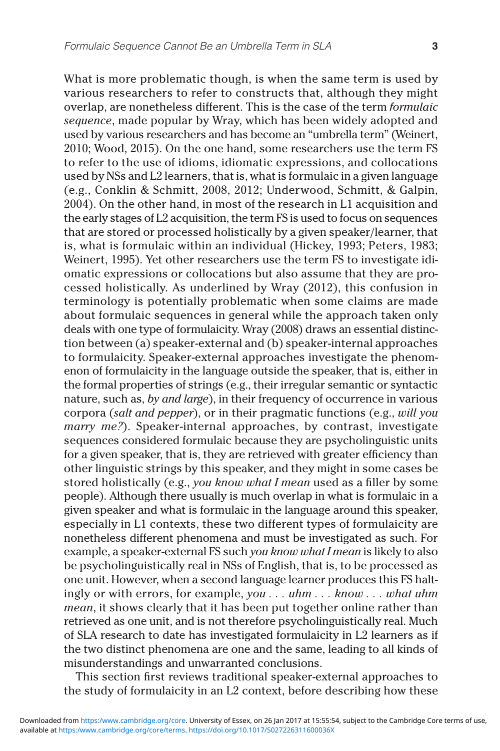What is more problematic though, is when the same term is used by various researchers to refer to constructs that, although they might overlap, are nonetheless different. This is the case of the term *formulaic sequence*, made popular by Wray, which has been widely adopted and used by various researchers and has become an "umbrella term" (Weinert, 2010; Wood, 2015). On the one hand, some researchers use the term FS to refer to the use of idioms, idiomatic expressions, and collocations used by NSs and L2 learners, that is, what is formulaic in a given language (e.g., Conklin & Schmitt, 2008 , 2012 ; Underwood, Schmitt, & Galpin, 2004). On the other hand, in most of the research in L1 acquisition and the early stages of L2 acquisition, the term FS is used to focus on sequences that are stored or processed holistically by a given speaker/learner, that is, what is formulaic within an individual (Hickey, 1993; Peters, 1983; Weinert, 1995). Yet other researchers use the term FS to investigate idiomatic expressions or collocations but also assume that they are processed holistically. As underlined by Wray ( 2012 ), this confusion in terminology is potentially problematic when some claims are made about formulaic sequences in general while the approach taken only deals with one type of formulaicity. Wray (2008) draws an essential distinction between (a) speaker-external and (b) speaker-internal approaches to formulaicity. Speaker-external approaches investigate the phenomenon of formulaicity in the language outside the speaker, that is, either in the formal properties of strings (e.g., their irregular semantic or syntactic nature, such as, *by and large*), in their frequency of occurrence in various corpora ( *salt and pepper*), or in their pragmatic functions (e.g., *will you marry me?*). Speaker-internal approaches, by contrast, investigate sequences considered formulaic because they are psycholinguistic units for a given speaker, that is, they are retrieved with greater efficiency than other linguistic strings by this speaker, and they might in some cases be stored holistically (e.g., *you know what I mean* used as a filler by some people). Although there usually is much overlap in what is formulaic in a given speaker and what is formulaic in the language around this speaker, especially in L1 contexts, these two different types of formulaicity are nonetheless different phenomena and must be investigated as such. For example, a speaker-external FS such *you know what I mean* is likely to also be psycholinguistically real in NSs of English, that is, to be processed as one unit. However, when a second language learner produces this FS haltingly or with errors, for example, *you . . . uhm . . . know . . . what uhm mean*, it shows clearly that it has been put together online rather than retrieved as one unit, and is not therefore psycholinguistically real. Much of SLA research to date has investigated formulaicity in L2 learners as if the two distinct phenomena are one and the same, leading to all kinds of misunderstandings and unwarranted conclusions.

This section first reviews traditional speaker-external approaches to the study of formulaicity in an L2 context, before describing how these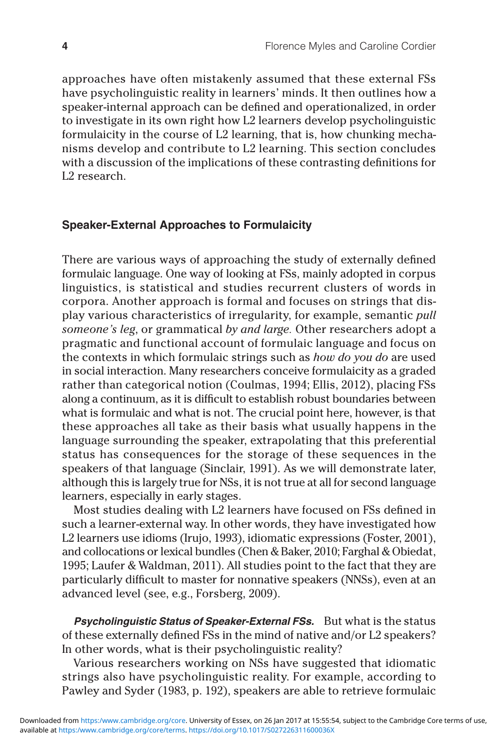approaches have often mistakenly assumed that these external FSs have psycholinguistic reality in learners' minds. It then outlines how a speaker-internal approach can be defined and operationalized, in order to investigate in its own right how L2 learners develop psycholinguistic formulaicity in the course of L2 learning, that is, how chunking mechanisms develop and contribute to L2 learning. This section concludes with a discussion of the implications of these contrasting definitions for L2 research.

#### **Speaker-External Approaches to Formulaicity**

There are various ways of approaching the study of externally defined formulaic language. One way of looking at FSs, mainly adopted in corpus linguistics, is statistical and studies recurrent clusters of words in corpora. Another approach is formal and focuses on strings that display various characteristics of irregularity, for example, semantic *pull someone's leg*, or grammatical *by and large.* Other researchers adopt a pragmatic and functional account of formulaic language and focus on the contexts in which formulaic strings such as *how do you do* are used in social interaction. Many researchers conceive formulaicity as a graded rather than categorical notion (Coulmas, 1994; Ellis, 2012), placing FSs along a continuum, as it is difficult to establish robust boundaries between what is formulaic and what is not. The crucial point here, however, is that these approaches all take as their basis what usually happens in the language surrounding the speaker, extrapolating that this preferential status has consequences for the storage of these sequences in the speakers of that language (Sinclair, 1991). As we will demonstrate later, although this is largely true for NSs, it is not true at all for second language learners, especially in early stages.

Most studies dealing with L2 learners have focused on FSs defined in such a learner-external way. In other words, they have investigated how L2 learners use idioms (Irujo, 1993), idiomatic expressions (Foster, 2001), and collocations or lexical bundles (Chen & Baker, 2010; Farghal & Obiedat, 1995; Laufer & Waldman, 2011). All studies point to the fact that they are particularly difficult to master for nonnative speakers (NNSs), even at an advanced level (see, e.g., Forsberg, 2009).

**Psycholinguistic Status of Speaker-External FSs.** But what is the status of these externally defined FSs in the mind of native and/or L2 speakers? In other words, what is their psycholinguistic reality?

Various researchers working on NSs have suggested that idiomatic strings also have psycholinguistic reality. For example, according to Pawley and Syder (1983, p. 192), speakers are able to retrieve formulaic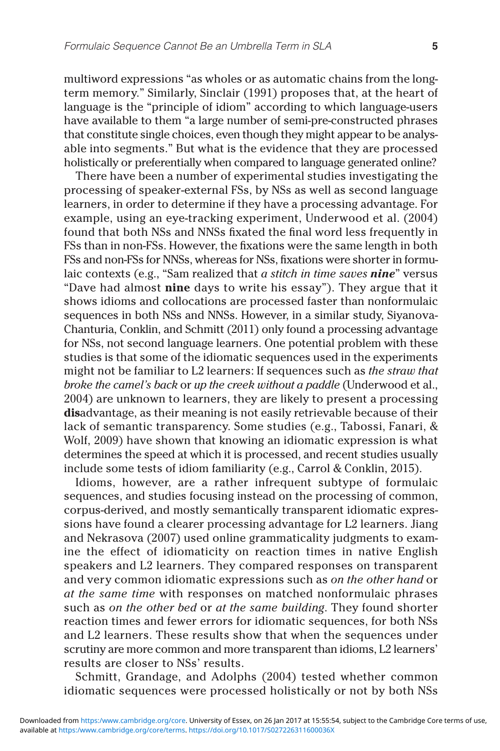multiword expressions "as wholes or as automatic chains from the longterm memory." Similarly, Sinclair ( 1991 ) proposes that, at the heart of language is the "principle of idiom" according to which language-users have available to them "a large number of semi-pre-constructed phrases that constitute single choices, even though they might appear to be analysable into segments." But what is the evidence that they are processed holistically or preferentially when compared to language generated online?

There have been a number of experimental studies investigating the processing of speaker-external FSs, by NSs as well as second language learners, in order to determine if they have a processing advantage. For example, using an eye-tracking experiment, Underwood et al. (2004) found that both NSs and NNSs fixated the final word less frequently in FSs than in non-FSs. However, the fixations were the same length in both FSs and non-FSs for NNSs, whereas for NSs, fi xations were shorter in formulaic contexts (e.g., "Sam realized that *a stitch in time saves nine*" versus "Dave had almost **nine** days to write his essay"). They argue that it shows idioms and collocations are processed faster than nonformulaic sequences in both NSs and NNSs. However, in a similar study, Siyanova-Chanturia, Conklin, and Schmitt ( 2011 ) only found a processing advantage for NSs, not second language learners. One potential problem with these studies is that some of the idiomatic sequences used in the experiments might not be familiar to L2 learners: If sequences such as *the straw that broke the camel's back* or *up the creek without a paddle* (Underwood et al., 2004) are unknown to learners, they are likely to present a processing **dis**advantage, as their meaning is not easily retrievable because of their lack of semantic transparency. Some studies (e.g., Tabossi, Fanari, & Wolf, 2009) have shown that knowing an idiomatic expression is what determines the speed at which it is processed, and recent studies usually include some tests of idiom familiarity (e.g., Carrol & Conklin, 2015).

Idioms, however, are a rather infrequent subtype of formulaic sequences, and studies focusing instead on the processing of common, corpus-derived, and mostly semantically transparent idiomatic expressions have found a clearer processing advantage for L2 learners. Jiang and Nekrasova (2007) used online grammaticality judgments to examine the effect of idiomaticity on reaction times in native English speakers and L2 learners. They compared responses on transparent and very common idiomatic expressions such as *on the other hand* or *at the same time* with responses on matched nonformulaic phrases such as *on the other bed* or *at the same building*. They found shorter reaction times and fewer errors for idiomatic sequences, for both NSs and L2 learners. These results show that when the sequences under scrutiny are more common and more transparent than idioms, L2 learners' results are closer to NSs' results.

Schmitt, Grandage, and Adolphs (2004) tested whether common idiomatic sequences were processed holistically or not by both NSs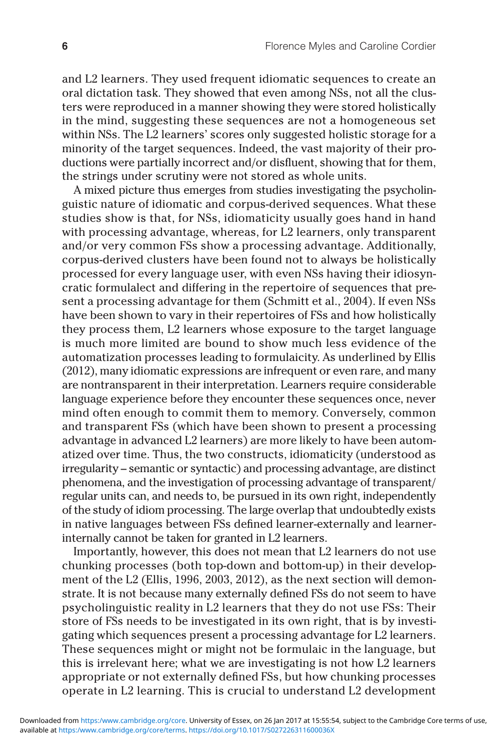and L2 learners. They used frequent idiomatic sequences to create an oral dictation task. They showed that even among NSs, not all the clusters were reproduced in a manner showing they were stored holistically in the mind, suggesting these sequences are not a homogeneous set within NSs. The L2 learners' scores only suggested holistic storage for a minority of the target sequences. Indeed, the vast majority of their productions were partially incorrect and/or disfluent, showing that for them, the strings under scrutiny were not stored as whole units.

A mixed picture thus emerges from studies investigating the psycholinguistic nature of idiomatic and corpus-derived sequences. What these studies show is that, for NSs, idiomaticity usually goes hand in hand with processing advantage, whereas, for L2 learners, only transparent and/or very common FSs show a processing advantage. Additionally, corpus-derived clusters have been found not to always be holistically processed for every language user, with even NSs having their idiosyncratic formulalect and differing in the repertoire of sequences that present a processing advantage for them (Schmitt et al., 2004). If even NSs have been shown to vary in their repertoires of FSs and how holistically they process them, L2 learners whose exposure to the target language is much more limited are bound to show much less evidence of the automatization processes leading to formulaicity. As underlined by Ellis (2012), many idiomatic expressions are infrequent or even rare, and many are nontransparent in their interpretation. Learners require considerable language experience before they encounter these sequences once, never mind often enough to commit them to memory. Conversely, common and transparent FSs (which have been shown to present a processing advantage in advanced L2 learners) are more likely to have been automatized over time. Thus, the two constructs, idiomaticity (understood as irregularity – semantic or syntactic) and processing advantage, are distinct phenomena, and the investigation of processing advantage of transparent/ regular units can, and needs to, be pursued in its own right, independently of the study of idiom processing. The large overlap that undoubtedly exists in native languages between FSs defined learner-externally and learnerinternally cannot be taken for granted in L2 learners.

Importantly, however, this does not mean that L2 learners do not use chunking processes (both top-down and bottom-up) in their development of the L2 (Ellis, 1996, 2003, 2012), as the next section will demonstrate. It is not because many externally defined FSs do not seem to have psycholinguistic reality in L2 learners that they do not use FSs: Their store of FSs needs to be investigated in its own right, that is by investigating which sequences present a processing advantage for L2 learners. These sequences might or might not be formulaic in the language, but this is irrelevant here; what we are investigating is not how L2 learners appropriate or not externally defined FSs, but how chunking processes operate in L2 learning. This is crucial to understand L2 development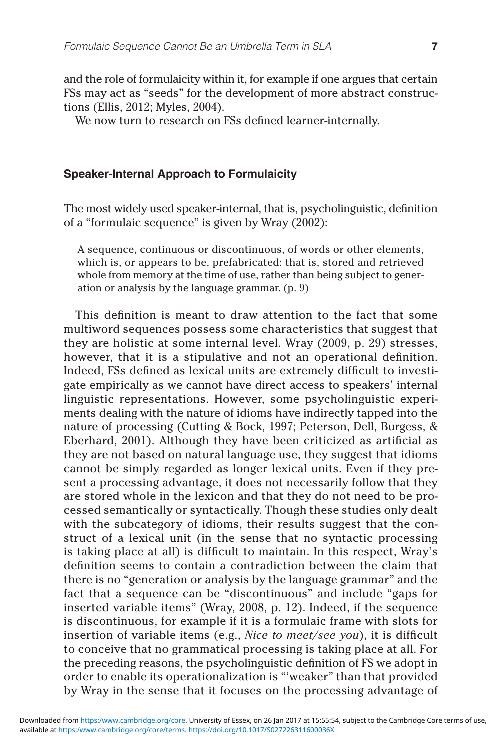and the role of formulaicity within it, for example if one argues that certain FSs may act as "seeds" for the development of more abstract constructions (Ellis, 2012; Myles, 2004).

We now turn to research on FSs defined learner-internally.

#### **Speaker-Internal Approach to Formulaicity**

The most widely used speaker-internal, that is, psycholinguistic, definition of a "formulaic sequence" is given by Wray (2002):

A sequence, continuous or discontinuous, of words or other elements, which is, or appears to be, prefabricated: that is, stored and retrieved whole from memory at the time of use, rather than being subject to generation or analysis by the language grammar. (p. 9)

This definition is meant to draw attention to the fact that some multiword sequences possess some characteristics that suggest that they are holistic at some internal level. Wray (2009, p. 29) stresses, however, that it is a stipulative and not an operational definition. Indeed. FSs defined as lexical units are extremely difficult to investigate empirically as we cannot have direct access to speakers' internal linguistic representations. However, some psycholinguistic experiments dealing with the nature of idioms have indirectly tapped into the nature of processing (Cutting & Bock, 1997; Peterson, Dell, Burgess, & Eberhard, 2001). Although they have been criticized as artificial as they are not based on natural language use, they suggest that idioms cannot be simply regarded as longer lexical units. Even if they present a processing advantage, it does not necessarily follow that they are stored whole in the lexicon and that they do not need to be processed semantically or syntactically. Though these studies only dealt with the subcategory of idioms, their results suggest that the construct of a lexical unit (in the sense that no syntactic processing is taking place at all) is difficult to maintain. In this respect, Wray's definition seems to contain a contradiction between the claim that there is no "generation or analysis by the language grammar" and the fact that a sequence can be "discontinuous" and include "gaps for inserted variable items" (Wray, 2008 , p. 12). Indeed, if the sequence is discontinuous, for example if it is a formulaic frame with slots for insertion of variable items (e.g., *Nice to meet/see you*), it is difficult to conceive that no grammatical processing is taking place at all. For the preceding reasons, the psycholinguistic definition of FS we adopt in order to enable its operationalization is "'weaker" than that provided by Wray in the sense that it focuses on the processing advantage of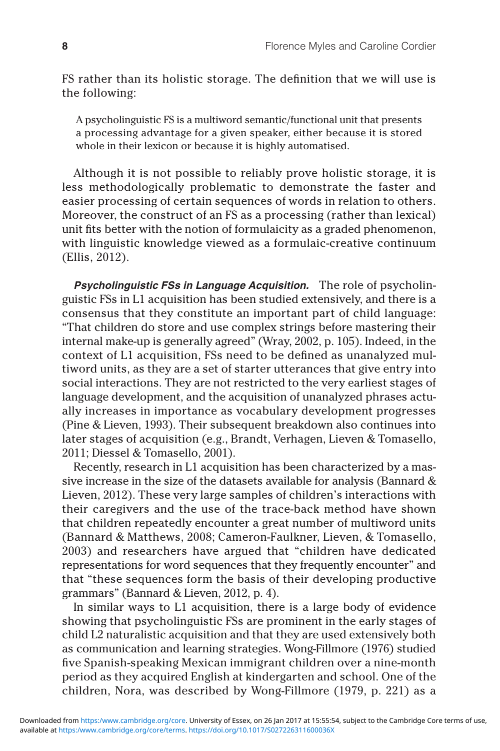FS rather than its holistic storage. The definition that we will use is the following:

A psycholinguistic FS is a multiword semantic/functional unit that presents a processing advantage for a given speaker, either because it is stored whole in their lexicon or because it is highly automatised.

Although it is not possible to reliably prove holistic storage, it is less methodologically problematic to demonstrate the faster and easier processing of certain sequences of words in relation to others. Moreover, the construct of an FS as a processing (rather than lexical) unit fits better with the notion of formulaicity as a graded phenomenon, with linguistic knowledge viewed as a formulaic-creative continuum (Ellis, 2012).

*Psycholinguistic FSs in Language Acquisition.* The role of psycholinguistic FSs in L1 acquisition has been studied extensively, and there is a consensus that they constitute an important part of child language: "That children do store and use complex strings before mastering their internal make-up is generally agreed" (Wray, 2002 , p. 105). Indeed, in the context of L1 acquisition, FSs need to be defined as unanalyzed multiword units, as they are a set of starter utterances that give entry into social interactions. They are not restricted to the very earliest stages of language development, and the acquisition of unanalyzed phrases actually increases in importance as vocabulary development progresses (Pine & Lieven, 1993). Their subsequent breakdown also continues into later stages of acquisition (e.g., Brandt, Verhagen, Lieven & Tomasello, 2011; Diessel & Tomasello, 2001).

Recently, research in L1 acquisition has been characterized by a massive increase in the size of the datasets available for analysis (Bannard & Lieven, 2012). These very large samples of children's interactions with their caregivers and the use of the trace-back method have shown that children repeatedly encounter a great number of multiword units (Bannard & Matthews, 2008; Cameron-Faulkner, Lieven, & Tomasello, 2003) and researchers have argued that "children have dedicated representations for word sequences that they frequently encounter" and that "these sequences form the basis of their developing productive grammars" (Bannard & Lieven, 2012, p. 4).

In similar ways to L1 acquisition, there is a large body of evidence showing that psycholinguistic FSs are prominent in the early stages of child L2 naturalistic acquisition and that they are used extensively both as communication and learning strategies. Wong-Fillmore ( 1976 ) studied five Spanish-speaking Mexican immigrant children over a nine-month period as they acquired English at kindergarten and school. One of the children, Nora, was described by Wong-Fillmore (1979, p. 221) as a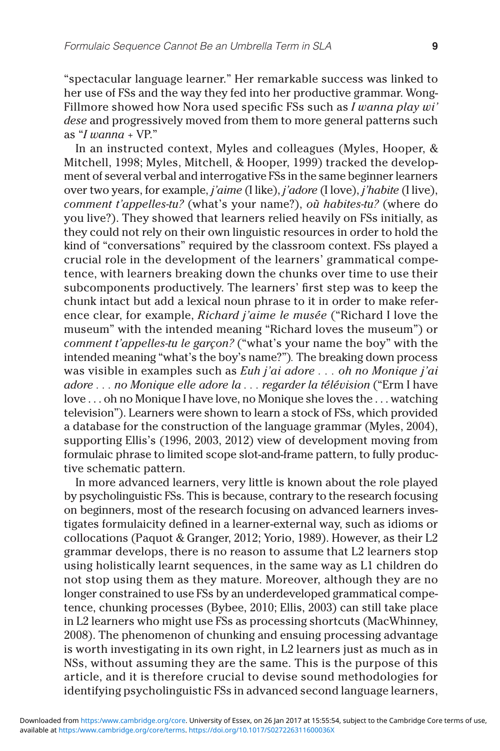"spectacular language learner." Her remarkable success was linked to her use of FSs and the way they fed into her productive grammar. Wong-Fillmore showed how Nora used specific FSs such as *I wanna play wi' dese* and progressively moved from them to more general patterns such as " $I$  wanna + VP."

In an instructed context, Myles and colleagues (Myles, Hooper, & Mitchell, 1998; Myles, Mitchell, & Hooper, 1999) tracked the development of several verbal and interrogative FSs in the same beginner learners over two years, for example, *j'aime* (I like), *j'adore* (I love), *j'habite* (I live), *comment t'appelles-tu?* (what's your name?), *où habites-tu?* (where do you live?). They showed that learners relied heavily on FSs initially, as they could not rely on their own linguistic resources in order to hold the kind of "conversations" required by the classroom context. FSs played a crucial role in the development of the learners' grammatical competence, with learners breaking down the chunks over time to use their subcomponents productively. The learners' first step was to keep the chunk intact but add a lexical noun phrase to it in order to make reference clear, for example, *Richard j'aime le musée* ("Richard I love the museum" with the intended meaning "Richard loves the museum") or *comment t'appelles-tu le garçon?* ("what's your name the boy" with the intended meaning "what's the boy's name?") *.* The breaking down process was visible in examples such as *Euh j'ai adore . . . oh no Monique j'ai adore . . . no Monique elle adore la . . . regarder la télévision* ("Erm I have love . . . oh no Monique I have love, no Monique she loves the . . . watching television"). Learners were shown to learn a stock of FSs, which provided a database for the construction of the language grammar (Myles, 2004), supporting Ellis's (1996, 2003, 2012) view of development moving from formulaic phrase to limited scope slot-and-frame pattern, to fully productive schematic pattern.

In more advanced learners, very little is known about the role played by psycholinguistic FSs. This is because, contrary to the research focusing on beginners, most of the research focusing on advanced learners investigates formulaicity defined in a learner-external way, such as idioms or collocations (Paquot & Granger, 2012; Yorio, 1989). However, as their L2 grammar develops, there is no reason to assume that L2 learners stop using holistically learnt sequences, in the same way as L1 children do not stop using them as they mature. Moreover, although they are no longer constrained to use FSs by an underdeveloped grammatical competence, chunking processes (Bybee, 2010; Ellis, 2003) can still take place in L2 learners who might use FSs as processing shortcuts (MacWhinney, 2008). The phenomenon of chunking and ensuing processing advantage is worth investigating in its own right, in L2 learners just as much as in NSs, without assuming they are the same. This is the purpose of this article, and it is therefore crucial to devise sound methodologies for identifying psycholinguistic FSs in advanced second language learners,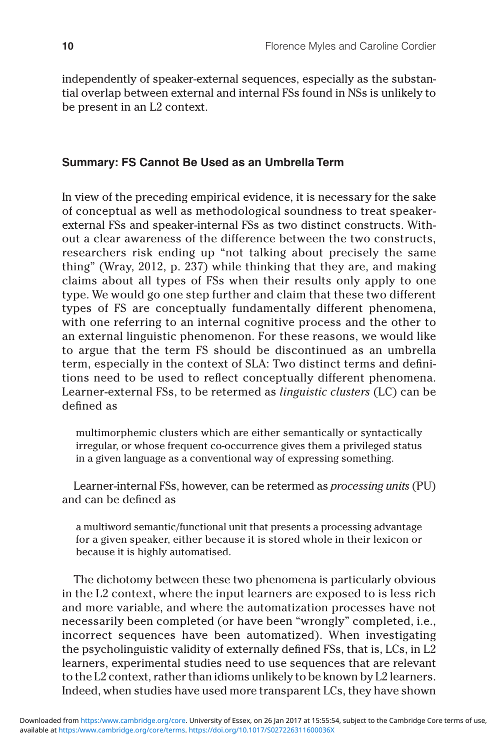independently of speaker-external sequences, especially as the substantial overlap between external and internal FSs found in NSs is unlikely to be present in an L2 context.

#### **Summary: FS Cannot Be Used as an Umbrella Term**

In view of the preceding empirical evidence, it is necessary for the sake of conceptual as well as methodological soundness to treat speakerexternal FSs and speaker-internal FSs as two distinct constructs. Without a clear awareness of the difference between the two constructs, researchers risk ending up "not talking about precisely the same thing" (Wray, 2012, p. 237) while thinking that they are, and making claims about all types of FSs when their results only apply to one type. We would go one step further and claim that these two different types of FS are conceptually fundamentally different phenomena, with one referring to an internal cognitive process and the other to an external linguistic phenomenon. For these reasons, we would like to argue that the term FS should be discontinued as an umbrella term, especially in the context of SLA: Two distinct terms and definitions need to be used to reflect conceptually different phenomena. Learner-external FSs, to be retermed as *linguistic clusters* (LC) can be defined as

multimorphemic clusters which are either semantically or syntactically irregular, or whose frequent co-occurrence gives them a privileged status in a given language as a conventional way of expressing something.

Learner-internal FSs, however, can be retermed as *processing units* (PU) and can be defined as

a multiword semantic/functional unit that presents a processing advantage for a given speaker, either because it is stored whole in their lexicon or because it is highly automatised.

The dichotomy between these two phenomena is particularly obvious in the L2 context, where the input learners are exposed to is less rich and more variable, and where the automatization processes have not necessarily been completed (or have been "wrongly" completed, i.e., incorrect sequences have been automatized). When investigating the psycholinguistic validity of externally defined FSs, that is, LCs, in L2 learners, experimental studies need to use sequences that are relevant to the L2 context, rather than idioms unlikely to be known by L2 learners. Indeed, when studies have used more transparent LCs, they have shown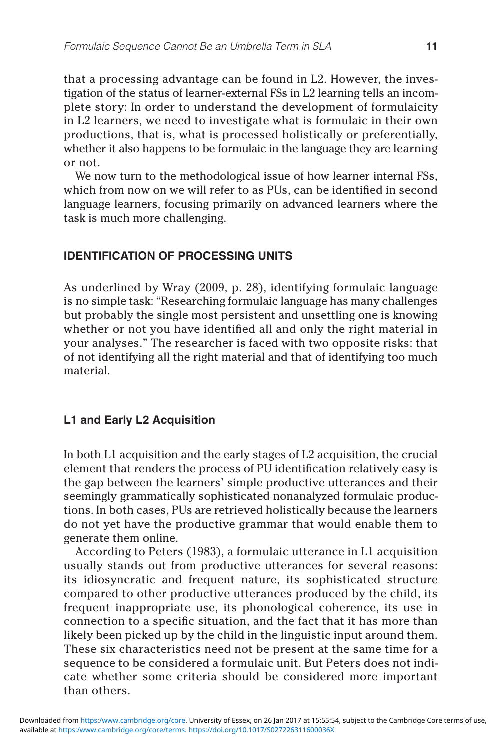that a processing advantage can be found in L2. However, the investigation of the status of learner-external FSs in L2 learning tells an incomplete story: In order to understand the development of formulaicity in L2 learners, we need to investigate what is formulaic in their own productions, that is, what is processed holistically or preferentially, whether it also happens to be formulaic in the language they are learning or not.

We now turn to the methodological issue of how learner internal FSs, which from now on we will refer to as PUs, can be identified in second language learners, focusing primarily on advanced learners where the task is much more challenging.

#### **IDENTIFICATION OF PROCESSING UNITS**

As underlined by Wray (2009, p. 28), identifying formulaic language is no simple task: "Researching formulaic language has many challenges but probably the single most persistent and unsettling one is knowing whether or not you have identified all and only the right material in your analyses." The researcher is faced with two opposite risks: that of not identifying all the right material and that of identifying too much material.

#### **L1 and Early L2 Acquisition**

In both L1 acquisition and the early stages of L2 acquisition, the crucial element that renders the process of PU identification relatively easy is the gap between the learners' simple productive utterances and their seemingly grammatically sophisticated nonanalyzed formulaic productions. In both cases, PUs are retrieved holistically because the learners do not yet have the productive grammar that would enable them to generate them online.

According to Peters ( 1983 ), a formulaic utterance in L1 acquisition usually stands out from productive utterances for several reasons: its idiosyncratic and frequent nature, its sophisticated structure compared to other productive utterances produced by the child, its frequent inappropriate use, its phonological coherence, its use in connection to a specific situation, and the fact that it has more than likely been picked up by the child in the linguistic input around them. These six characteristics need not be present at the same time for a sequence to be considered a formulaic unit. But Peters does not indicate whether some criteria should be considered more important than others.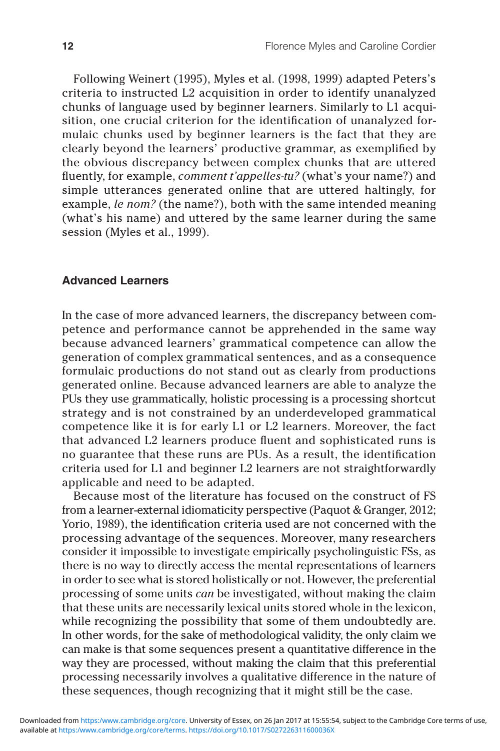Following Weinert (1995), Myles et al. (1998, 1999) adapted Peters's criteria to instructed L2 acquisition in order to identify unanalyzed chunks of language used by beginner learners. Similarly to L1 acquisition, one crucial criterion for the identification of unanalyzed formulaic chunks used by beginner learners is the fact that they are clearly beyond the learners' productive grammar, as exemplified by the obvious discrepancy between complex chunks that are uttered fluently, for example, *comment t'appelles-tu?* (what's your name?) and simple utterances generated online that are uttered haltingly, for example, *le nom?* (the name?), both with the same intended meaning (what's his name) and uttered by the same learner during the same session (Myles et al., 1999).

#### **Advanced Learners**

In the case of more advanced learners, the discrepancy between competence and performance cannot be apprehended in the same way because advanced learners' grammatical competence can allow the generation of complex grammatical sentences, and as a consequence formulaic productions do not stand out as clearly from productions generated online. Because advanced learners are able to analyze the PUs they use grammatically, holistic processing is a processing shortcut strategy and is not constrained by an underdeveloped grammatical competence like it is for early L1 or L2 learners. Moreover, the fact that advanced L2 learners produce fluent and sophisticated runs is no guarantee that these runs are PUs. As a result, the identification criteria used for L1 and beginner L2 learners are not straightforwardly applicable and need to be adapted.

Because most of the literature has focused on the construct of FS from a learner-external idiomaticity perspective (Paquot & Granger, 2012 ; Yorio, 1989), the identification criteria used are not concerned with the processing advantage of the sequences. Moreover, many researchers consider it impossible to investigate empirically psycholinguistic FSs, as there is no way to directly access the mental representations of learners in order to see what is stored holistically or not. However, the preferential processing of some units *can* be investigated, without making the claim that these units are necessarily lexical units stored whole in the lexicon, while recognizing the possibility that some of them undoubtedly are. In other words, for the sake of methodological validity, the only claim we can make is that some sequences present a quantitative difference in the way they are processed, without making the claim that this preferential processing necessarily involves a qualitative difference in the nature of these sequences, though recognizing that it might still be the case.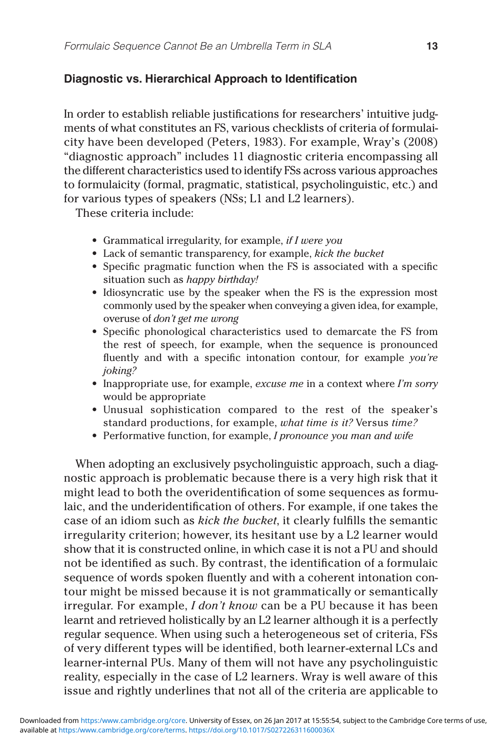### **Diagnostic vs. Hierarchical Approach to Identification**

In order to establish reliable justifications for researchers' intuitive judgments of what constitutes an FS, various checklists of criteria of formulaicity have been developed (Peters, 1983). For example, Wray's (2008) "diagnostic approach" includes 11 diagnostic criteria encompassing all the different characteristics used to identify FSs across various approaches to formulaicity (formal, pragmatic, statistical, psycholinguistic, etc.) and for various types of speakers (NSs; L1 and L2 learners).

These criteria include:

- Grammatical irregularity, for example, *if I were you*
- Lack of semantic transparency, for example, *kick the bucket*
- Specific pragmatic function when the FS is associated with a specific situation such as *happy birthday!*
- Idiosyncratic use by the speaker when the FS is the expression most commonly used by the speaker when conveying a given idea, for example, overuse of *don't get me wrong*
- Specific phonological characteristics used to demarcate the FS from the rest of speech, for example, when the sequence is pronounced fluently and with a specific intonation contour, for example *you're joking?*
- Inappropriate use, for example, *excuse me* in a context where *I'm sorry* would be appropriate
- Unusual sophistication compared to the rest of the speaker's standard productions, for example, *what time is it?* Versus *time?*
- Performative function, for example, *I pronounce you man and wife*

When adopting an exclusively psycholinguistic approach, such a diagnostic approach is problematic because there is a very high risk that it might lead to both the overidentification of some sequences as formulaic, and the underidentification of others. For example, if one takes the case of an idiom such as *kick the bucket*, it clearly fulfills the semantic irregularity criterion; however, its hesitant use by a L2 learner would show that it is constructed online, in which case it is not a PU and should not be identified as such. By contrast, the identification of a formulaic sequence of words spoken fluently and with a coherent intonation contour might be missed because it is not grammatically or semantically irregular. For example, *I don't know* can be a PU because it has been learnt and retrieved holistically by an L2 learner although it is a perfectly regular sequence. When using such a heterogeneous set of criteria, FSs of very different types will be identified, both learner-external LCs and learner-internal PUs. Many of them will not have any psycholinguistic reality, especially in the case of L2 learners. Wray is well aware of this issue and rightly underlines that not all of the criteria are applicable to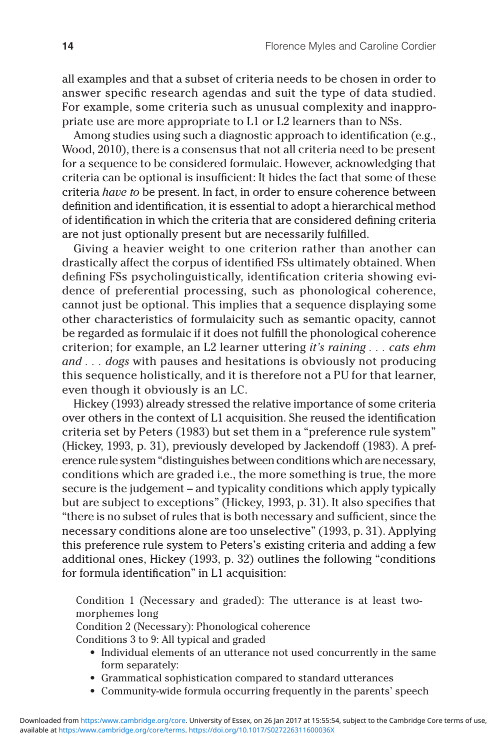all examples and that a subset of criteria needs to be chosen in order to answer specific research agendas and suit the type of data studied. For example, some criteria such as unusual complexity and inappropriate use are more appropriate to L1 or L2 learners than to NSs.

Among studies using such a diagnostic approach to identification (e.g., Wood, 2010), there is a consensus that not all criteria need to be present for a sequence to be considered formulaic. However, acknowledging that criteria can be optional is insufficient: It hides the fact that some of these criteria *have to* be present. In fact, in order to ensure coherence between definition and identification, it is essential to adopt a hierarchical method of identification in which the criteria that are considered defining criteria are not just optionally present but are necessarily fulfilled.

Giving a heavier weight to one criterion rather than another can drastically affect the corpus of identified FSs ultimately obtained. When defining FSs psycholinguistically, identification criteria showing evidence of preferential processing, such as phonological coherence, cannot just be optional. This implies that a sequence displaying some other characteristics of formulaicity such as semantic opacity, cannot be regarded as formulaic if it does not fulfill the phonological coherence criterion; for example, an L2 learner uttering *it's raining . . . cats ehm and . . . dogs* with pauses and hesitations is obviously not producing this sequence holistically, and it is therefore not a PU for that learner, even though it obviously is an LC.

Hickey (1993) already stressed the relative importance of some criteria over others in the context of L1 acquisition. She reused the identification criteria set by Peters ( 1983 ) but set them in a "preference rule system" (Hickey, 1993, p. 31), previously developed by Jackendoff (1983). A preference rule system "distinguishes between conditions which are necessary, conditions which are graded i.e., the more something is true, the more secure is the judgement – and typicality conditions which apply typically but are subject to exceptions" (Hickey, 1993, p. 31). It also specifies that "there is no subset of rules that is both necessary and sufficient, since the necessary conditions alone are too unselective" (1993, p. 31). Applying this preference rule system to Peters's existing criteria and adding a few additional ones, Hickey (1993, p. 32) outlines the following "conditions for formula identification" in L1 acquisition:

Condition 1 (Necessary and graded): The utterance is at least twomorphemes long Condition 2 (Necessary): Phonological coherence Conditions 3 to 9: All typical and graded

- Individual elements of an utterance not used concurrently in the same form separately:
- Grammatical sophistication compared to standard utterances
- Community-wide formula occurring frequently in the parents' speech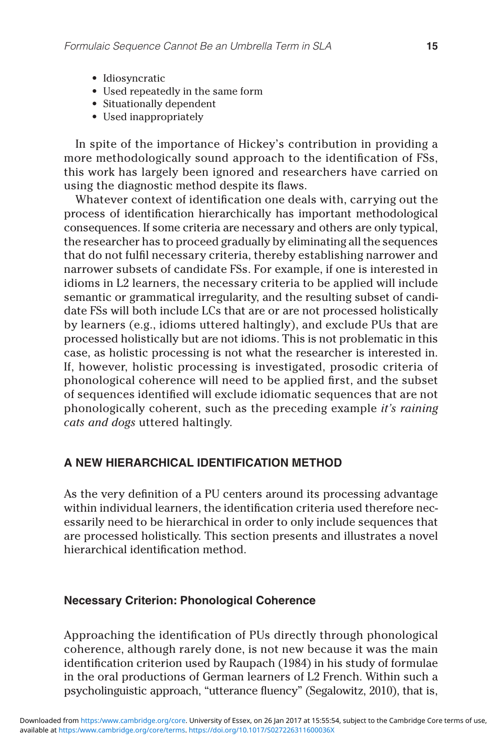- Idiosyncratic
- Used repeatedly in the same form
- Situationally dependent
- Used inappropriately

In spite of the importance of Hickey's contribution in providing a more methodologically sound approach to the identification of FSs, this work has largely been ignored and researchers have carried on using the diagnostic method despite its flaws.

Whatever context of identification one deals with, carrying out the process of identification hierarchically has important methodological consequences. If some criteria are necessary and others are only typical, the researcher has to proceed gradually by eliminating all the sequences that do not fulfil necessary criteria, thereby establishing narrower and narrower subsets of candidate FSs. For example, if one is interested in idioms in L2 learners, the necessary criteria to be applied will include semantic or grammatical irregularity, and the resulting subset of candidate FSs will both include LCs that are or are not processed holistically by learners (e.g., idioms uttered haltingly), and exclude PUs that are processed holistically but are not idioms. This is not problematic in this case, as holistic processing is not what the researcher is interested in. If, however, holistic processing is investigated, prosodic criteria of phonological coherence will need to be applied first, and the subset of sequences identified will exclude idiomatic sequences that are not phonologically coherent, such as the preceding example *it's raining cats and dogs* uttered haltingly.

## **A NEW HIERARCHICAL IDENTIFICATION METHOD**

As the very definition of a PU centers around its processing advantage within individual learners, the identification criteria used therefore necessarily need to be hierarchical in order to only include sequences that are processed holistically. This section presents and illustrates a novel hierarchical identification method.

#### **Necessary Criterion: Phonological Coherence**

Approaching the identification of PUs directly through phonological coherence, although rarely done, is not new because it was the main identification criterion used by Raupach (1984) in his study of formulae in the oral productions of German learners of L2 French. Within such a psycholinguistic approach, "utterance fluency" (Segalowitz, 2010), that is,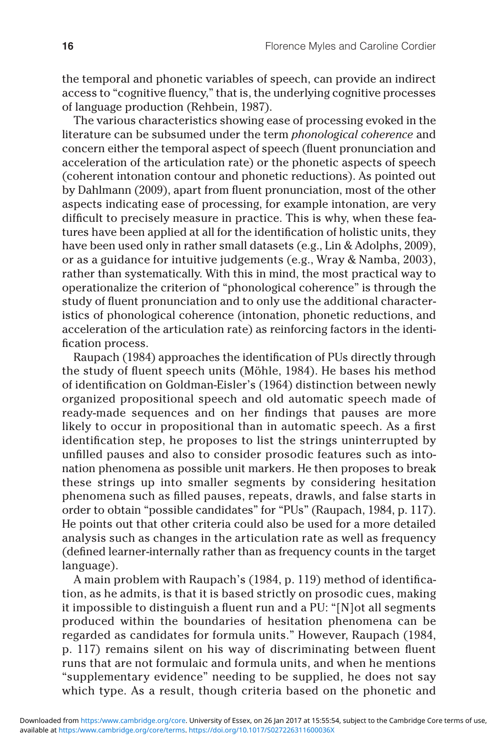the temporal and phonetic variables of speech, can provide an indirect access to "cognitive fluency," that is, the underlying cognitive processes of language production (Rehbein, 1987).

The various characteristics showing ease of processing evoked in the literature can be subsumed under the term *phonological coherence* and concern either the temporal aspect of speech (fluent pronunciation and acceleration of the articulation rate) or the phonetic aspects of speech (coherent intonation contour and phonetic reductions). As pointed out by Dahlmann (2009), apart from fluent pronunciation, most of the other aspects indicating ease of processing, for example intonation, are very difficult to precisely measure in practice. This is why, when these features have been applied at all for the identification of holistic units, they have been used only in rather small datasets (e.g., Lin & Adolphs, 2009), or as a guidance for intuitive judgements (e.g., Wray & Namba, 2003 ), rather than systematically. With this in mind, the most practical way to operationalize the criterion of "phonological coherence" is through the study of fluent pronunciation and to only use the additional characteristics of phonological coherence (intonation, phonetic reductions, and acceleration of the articulation rate) as reinforcing factors in the identification process.

Raupach (1984) approaches the identification of PUs directly through the study of fluent speech units (Möhle, 1984). He bases his method of identification on Goldman-Eisler's (1964) distinction between newly organized propositional speech and old automatic speech made of ready-made sequences and on her findings that pauses are more likely to occur in propositional than in automatic speech. As a first identification step, he proposes to list the strings uninterrupted by unfilled pauses and also to consider prosodic features such as intonation phenomena as possible unit markers. He then proposes to break these strings up into smaller segments by considering hesitation phenomena such as filled pauses, repeats, drawls, and false starts in order to obtain "possible candidates" for "PUs" (Raupach, 1984, p. 117). He points out that other criteria could also be used for a more detailed analysis such as changes in the articulation rate as well as frequency (defined learner-internally rather than as frequency counts in the target language).

A main problem with Raupach's (1984, p. 119) method of identification, as he admits, is that it is based strictly on prosodic cues, making it impossible to distinguish a fluent run and a PU: "[N]ot all segments produced within the boundaries of hesitation phenomena can be regarded as candidates for formula units." However, Raupach (1984, p. 117) remains silent on his way of discriminating between fluent runs that are not formulaic and formula units, and when he mentions "supplementary evidence" needing to be supplied, he does not say which type. As a result, though criteria based on the phonetic and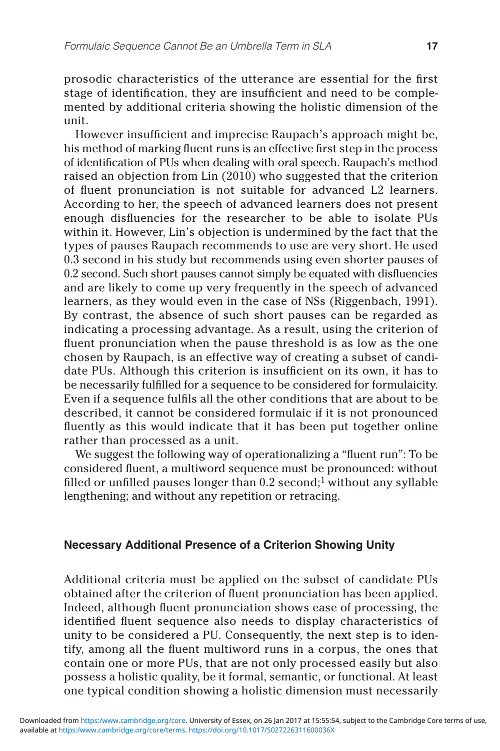prosodic characteristics of the utterance are essential for the first stage of identification, they are insufficient and need to be complemented by additional criteria showing the holistic dimension of the unit.

However insufficient and imprecise Raupach's approach might be, his method of marking fluent runs is an effective first step in the process of identification of PUs when dealing with oral speech. Raupach's method raised an objection from Lin  $(2010)$  who suggested that the criterion of fluent pronunciation is not suitable for advanced L2 learners. According to her, the speech of advanced learners does not present enough disfluencies for the researcher to be able to isolate PUs within it. However, Lin's objection is undermined by the fact that the types of pauses Raupach recommends to use are very short. He used 0.3 second in his study but recommends using even shorter pauses of 0.2 second. Such short pauses cannot simply be equated with disfluencies and are likely to come up very frequently in the speech of advanced learners, as they would even in the case of NSs (Riggenbach, 1991). By contrast, the absence of such short pauses can be regarded as indicating a processing advantage. As a result, using the criterion of fluent pronunciation when the pause threshold is as low as the one chosen by Raupach, is an effective way of creating a subset of candidate PUs. Although this criterion is insufficient on its own, it has to be necessarily fulfilled for a sequence to be considered for formulaicity. Even if a sequence fulfils all the other conditions that are about to be described, it cannot be considered formulaic if it is not pronounced fluently as this would indicate that it has been put together online rather than processed as a unit.

We suggest the following way of operationalizing a "fluent run": To be considered fluent, a multiword sequence must be pronounced: without filled or unfilled pauses longer than  $0.2$  second;<sup>1</sup> without any syllable lengthening; and without any repetition or retracing.

#### **Necessary Additional Presence of a Criterion Showing Unity**

Additional criteria must be applied on the subset of candidate PUs obtained after the criterion of fluent pronunciation has been applied. Indeed, although fluent pronunciation shows ease of processing, the identified fluent sequence also needs to display characteristics of unity to be considered a PU. Consequently, the next step is to identify, among all the fluent multiword runs in a corpus, the ones that contain one or more PUs, that are not only processed easily but also possess a holistic quality, be it formal, semantic, or functional. At least one typical condition showing a holistic dimension must necessarily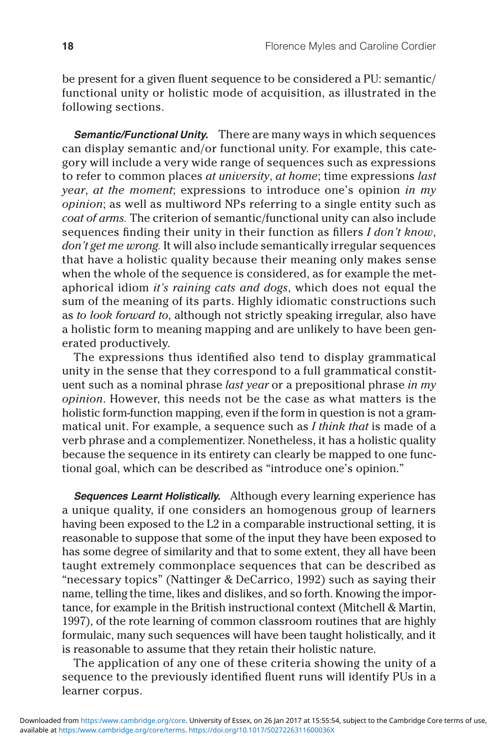be present for a given fluent sequence to be considered a PU: semantic/ functional unity or holistic mode of acquisition, as illustrated in the following sections.

*Semantic/Functional Unity.* There are many ways in which sequences can display semantic and/or functional unity. For example, this category will include a very wide range of sequences such as expressions to refer to common places *at university*, *at home*; time expressions *last year*, *at the moment*; expressions to introduce one's opinion *in my opinion*; as well as multiword NPs referring to a single entity such as *coat of arms.* The criterion of semantic/functional unity can also include sequences finding their unity in their function as fillers *I don't know*, *don't get me wrong.* It will also include semantically irregular sequences that have a holistic quality because their meaning only makes sense when the whole of the sequence is considered, as for example the metaphorical idiom *it's raining cats and dogs*, which does not equal the sum of the meaning of its parts. Highly idiomatic constructions such as *to look forward to*, although not strictly speaking irregular, also have a holistic form to meaning mapping and are unlikely to have been generated productively.

The expressions thus identified also tend to display grammatical unity in the sense that they correspond to a full grammatical constituent such as a nominal phrase *last year* or a prepositional phrase *in my opinion*. However, this needs not be the case as what matters is the holistic form-function mapping, even if the form in question is not a grammatical unit. For example, a sequence such as *I think that* is made of a verb phrase and a complementizer. Nonetheless, it has a holistic quality because the sequence in its entirety can clearly be mapped to one functional goal, which can be described as "introduce one's opinion."

*Sequences Learnt Holistically.* Although every learning experience has a unique quality, if one considers an homogenous group of learners having been exposed to the L2 in a comparable instructional setting, it is reasonable to suppose that some of the input they have been exposed to has some degree of similarity and that to some extent, they all have been taught extremely commonplace sequences that can be described as "necessary topics" (Nattinger & DeCarrico, 1992) such as saying their name, telling the time, likes and dislikes, and so forth. Knowing the importance, for example in the British instructional context (Mitchell & Martin, 1997), of the rote learning of common classroom routines that are highly formulaic, many such sequences will have been taught holistically, and it is reasonable to assume that they retain their holistic nature.

The application of any one of these criteria showing the unity of a sequence to the previously identified fluent runs will identify PUs in a learner corpus.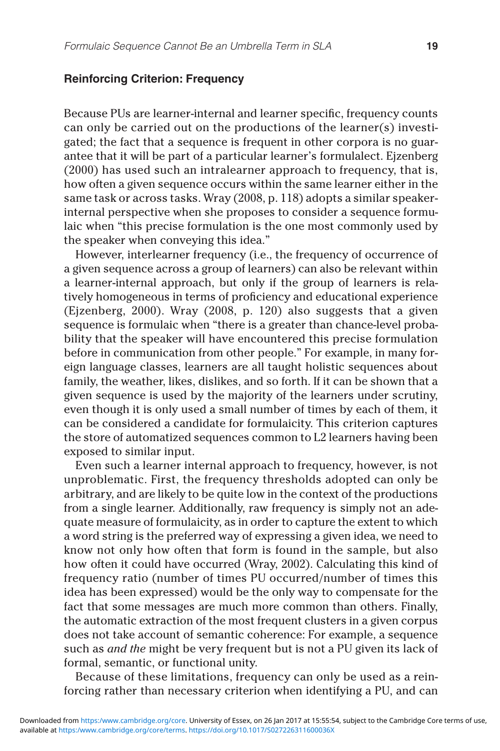#### **Reinforcing Criterion: Frequency**

Because PUs are learner-internal and learner specific, frequency counts can only be carried out on the productions of the learner(s) investigated; the fact that a sequence is frequent in other corpora is no guarantee that it will be part of a particular learner's formulalect. Ejzenberg (2000) has used such an intralearner approach to frequency, that is, how often a given sequence occurs within the same learner either in the same task or across tasks. Wray (2008, p. 118) adopts a similar speakerinternal perspective when she proposes to consider a sequence formulaic when "this precise formulation is the one most commonly used by the speaker when conveying this idea."

However, interlearner frequency (i.e., the frequency of occurrence of a given sequence across a group of learners) can also be relevant within a learner-internal approach, but only if the group of learners is relatively homogeneous in terms of proficiency and educational experience (Eizenberg, 2000). Wray  $(2008, p. 120)$  also suggests that a given sequence is formulaic when "there is a greater than chance-level probability that the speaker will have encountered this precise formulation before in communication from other people." For example, in many foreign language classes, learners are all taught holistic sequences about family, the weather, likes, dislikes, and so forth. If it can be shown that a given sequence is used by the majority of the learners under scrutiny, even though it is only used a small number of times by each of them, it can be considered a candidate for formulaicity. This criterion captures the store of automatized sequences common to L2 learners having been exposed to similar input.

Even such a learner internal approach to frequency, however, is not unproblematic. First, the frequency thresholds adopted can only be arbitrary, and are likely to be quite low in the context of the productions from a single learner. Additionally, raw frequency is simply not an adequate measure of formulaicity, as in order to capture the extent to which a word string is the preferred way of expressing a given idea, we need to know not only how often that form is found in the sample, but also how often it could have occurred (Wray, 2002). Calculating this kind of frequency ratio (number of times PU occurred/number of times this idea has been expressed) would be the only way to compensate for the fact that some messages are much more common than others. Finally, the automatic extraction of the most frequent clusters in a given corpus does not take account of semantic coherence: For example, a sequence such as *and the* might be very frequent but is not a PU given its lack of formal, semantic, or functional unity.

Because of these limitations, frequency can only be used as a reinforcing rather than necessary criterion when identifying a PU, and can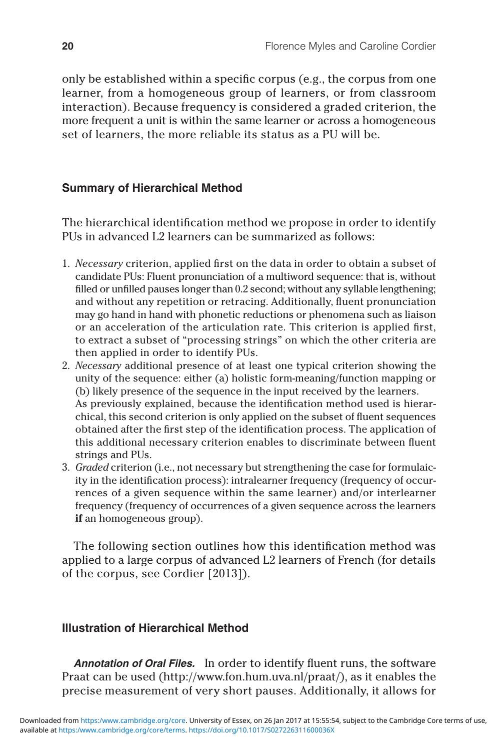only be established within a specific corpus (e.g., the corpus from one learner, from a homogeneous group of learners, or from classroom interaction). Because frequency is considered a graded criterion, the more frequent a unit is within the same learner or across a homogeneous set of learners, the more reliable its status as a PU will be.

#### **Summary of Hierarchical Method**

The hierarchical identification method we propose in order to identify PUs in advanced L2 learners can be summarized as follows:

- 1. *Necessary* criterion, applied first on the data in order to obtain a subset of candidate PUs: Fluent pronunciation of a multiword sequence: that is, without filled or unfilled pauses longer than 0.2 second; without any syllable lengthening; and without any repetition or retracing. Additionally, fluent pronunciation may go hand in hand with phonetic reductions or phenomena such as liaison or an acceleration of the articulation rate. This criterion is applied first, to extract a subset of "processing strings" on which the other criteria are then applied in order to identify PUs.
- 2. *Necessary* additional presence of at least one typical criterion showing the unity of the sequence: either (a) holistic form-meaning/function mapping or (b) likely presence of the sequence in the input received by the learners. As previously explained, because the identification method used is hierarchical, this second criterion is only applied on the subset of fluent sequences obtained after the first step of the identification process. The application of this additional necessary criterion enables to discriminate between fluent strings and PUs.
- 3. *Graded* criterion (i.e., not necessary but strengthening the case for formulaicity in the identification process): intralearner frequency (frequency of occurrences of a given sequence within the same learner) and/or interlearner frequency (frequency of occurrences of a given sequence across the learners **if** an homogeneous group).

The following section outlines how this identification method was applied to a large corpus of advanced L2 learners of French (for details of the corpus, see Cordier [ 2013 ]).

#### **Illustration of Hierarchical Method**

**Annotation of Oral Files.** In order to identify fluent runs, the software Praat can be used (http://www.fon.hum.uva.nl/praat/), as it enables the precise measurement of very short pauses. Additionally, it allows for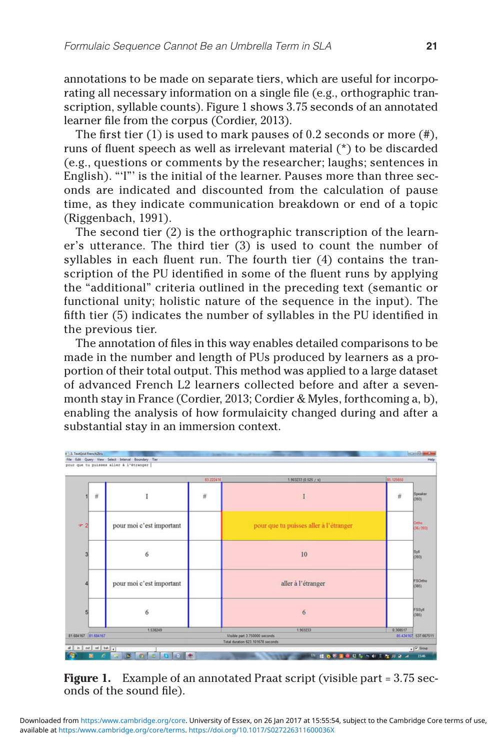annotations to be made on separate tiers, which are useful for incorporating all necessary information on a single file (e.g., orthographic transcription, syllable counts). Figure 1shows 3.75 seconds of an annotated learner file from the corpus (Cordier, 2013).

The first tier  $(1)$  is used to mark pauses of 0.2 seconds or more  $(\#)$ , runs of fluent speech as well as irrelevant material  $(*)$  to be discarded (e.g., questions or comments by the researcher; laughs; sentences in English). "'I"' is the initial of the learner. Pauses more than three seconds are indicated and discounted from the calculation of pause time, as they indicate communication breakdown or end of a topic  $(Riggenbach, 1991)$ .

The second tier (2) is the orthographic transcription of the learner's utterance. The third tier (3) is used to count the number of syllables in each fluent run. The fourth tier  $(4)$  contains the transcription of the PU identified in some of the fluent runs by applying the "additional" criteria outlined in the preceding text (semantic or functional unity; holistic nature of the sequence in the input). The fifth tier  $(5)$  indicates the number of syllables in the PU identified in the previous tier.

The annotation of files in this way enables detailed comparisons to be made in the number and length of PUs produced by learners as a proportion of their total output. This method was applied to a large dataset of advanced French L2 learners collected before and after a sevenmonth stay in France (Cordier, 2013; Cordier & Myles, forthcoming a, b), enabling the analysis of how formulaicity changed during and after a substantial stay in an immersion context.



**Figure 1.** Example of an annotated Praat script (visible part = 3.75 seconds of the sound file).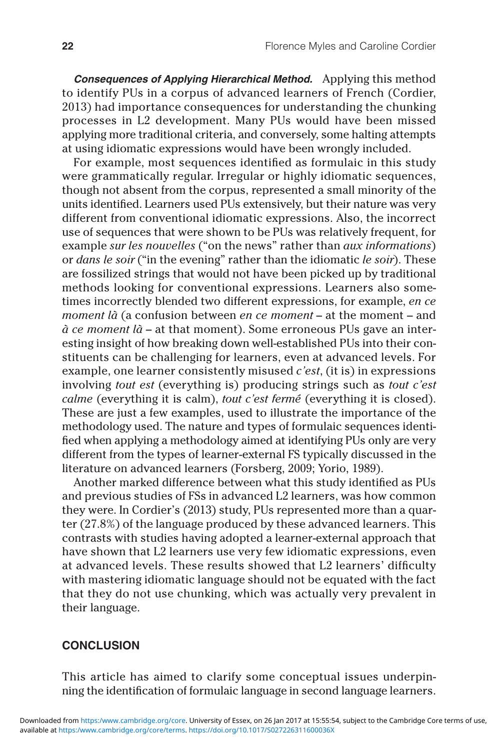*Consequences of Applying Hierarchical Method.* Applying this method to identify PUs in a corpus of advanced learners of French (Cordier, 2013 ) had importance consequences for understanding the chunking processes in L2 development. Many PUs would have been missed applying more traditional criteria, and conversely, some halting attempts at using idiomatic expressions would have been wrongly included.

For example, most sequences identified as formulaic in this study were grammatically regular. Irregular or highly idiomatic sequences, though not absent from the corpus, represented a small minority of the units identified. Learners used PUs extensively, but their nature was very different from conventional idiomatic expressions. Also, the incorrect use of sequences that were shown to be PUs was relatively frequent, for example *sur les nouvelles* ("on the news" rather than *aux informations*) or *dans le soir* ("in the evening" rather than the idiomatic *le soir*). These are fossilized strings that would not have been picked up by traditional methods looking for conventional expressions. Learners also sometimes incorrectly blended two different expressions, for example, *en ce moment là* (a confusion between *en ce moment* – at the moment – and *à ce moment là* – at that moment). Some erroneous PUs gave an interesting insight of how breaking down well-established PUs into their constituents can be challenging for learners, even at advanced levels. For example, one learner consistently misused *c'est*, (it is) in expressions involving *tout est* (everything is) producing strings such as *tout c'est calme* (everything it is calm), *tout c'est fermé* (everything it is closed). These are just a few examples, used to illustrate the importance of the methodology used. The nature and types of formulaic sequences identified when applying a methodology aimed at identifying PUs only are very different from the types of learner-external FS typically discussed in the literature on advanced learners (Forsberg, 2009; Yorio, 1989).

Another marked difference between what this study identified as PUs and previous studies of FSs in advanced L2 learners, was how common they were. In Cordier's (2013) study, PUs represented more than a quarter (27.8%) of the language produced by these advanced learners. This contrasts with studies having adopted a learner-external approach that have shown that L2 learners use very few idiomatic expressions, even at advanced levels. These results showed that L2 learners' difficulty with mastering idiomatic language should not be equated with the fact that they do not use chunking, which was actually very prevalent in their language.

#### **CONCLUSION**

This article has aimed to clarify some conceptual issues underpinning the identification of formulaic language in second language learners.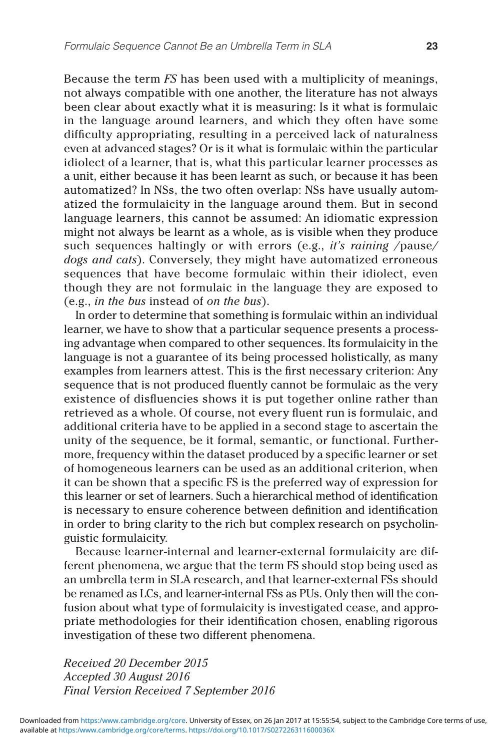Because the term *FS* has been used with a multiplicity of meanings, not always compatible with one another, the literature has not always been clear about exactly what it is measuring: Is it what is formulaic in the language around learners, and which they often have some difficulty appropriating, resulting in a perceived lack of naturalness even at advanced stages? Or is it what is formulaic within the particular idiolect of a learner, that is, what this particular learner processes as a unit, either because it has been learnt as such, or because it has been automatized? In NSs, the two often overlap: NSs have usually automatized the formulaicity in the language around them. But in second language learners, this cannot be assumed: An idiomatic expression might not always be learnt as a whole, as is visible when they produce such sequences haltingly or with errors (e.g., *it's raining /pause/ dogs and cats*). Conversely, they might have automatized erroneous sequences that have become formulaic within their idiolect, even though they are not formulaic in the language they are exposed to (e.g., *in the bus* instead of *on the bus*).

In order to determine that something is formulaic within an individual learner, we have to show that a particular sequence presents a processing advantage when compared to other sequences. Its formulaicity in the language is not a guarantee of its being processed holistically, as many examples from learners attest. This is the first necessary criterion: Any sequence that is not produced fluently cannot be formulaic as the very existence of disfluencies shows it is put together online rather than retrieved as a whole. Of course, not every fluent run is formulaic, and additional criteria have to be applied in a second stage to ascertain the unity of the sequence, be it formal, semantic, or functional. Furthermore, frequency within the dataset produced by a specific learner or set of homogeneous learners can be used as an additional criterion, when it can be shown that a specific FS is the preferred way of expression for this learner or set of learners. Such a hierarchical method of identification is necessary to ensure coherence between definition and identification in order to bring clarity to the rich but complex research on psycholinguistic formulaicity.

Because learner-internal and learner-external formulaicity are different phenomena, we argue that the term FS should stop being used as an umbrella term in SLA research, and that learner-external FSs should be renamed as LCs, and learner-internal FSs as PUs. Only then will the confusion about what type of formulaicity is investigated cease, and appropriate methodologies for their identification chosen, enabling rigorous investigation of these two different phenomena.

*Received 20 December 2015 Accepted 30 August 2016 Final Version Received 7 September 2016*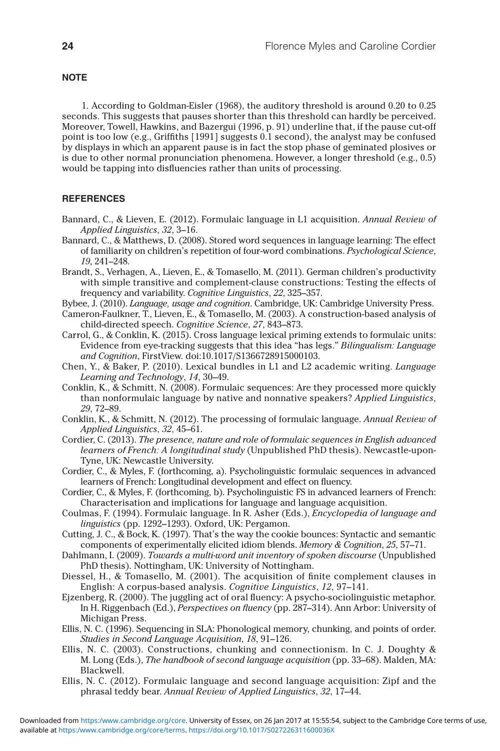#### **NOTE**

1. According to Goldman-Eisler ( 1968 ), the auditory threshold is around 0.20 to 0.25 seconds. This suggests that pauses shorter than this threshold can hardly be perceived. Moreover, Towell, Hawkins, and Bazergui ( 1996 , p. 91) underline that, if the pause cut-off point is too low (e.g., Griffiths  $[1991]$  suggests 0.1 second), the analyst may be confused by displays in which an apparent pause is in fact the stop phase of geminated plosives or is due to other normal pronunciation phenomena. However, a longer threshold (e.g., 0.5) would be tapping into disfluencies rather than units of processing.

#### **REFERENCES**

- Bannard , C. , & Lieven , E.( 2012 ). Formulaic language in L1 acquisition . *Annual Review of Applied Linguistics*, 32, 3-16.
- Bannard, C., & Matthews, D. (2008). Stored word sequences in language learning: The effect of familiarity on children's repetition of four-word combinations . *Psychological Science*, 19, 241-248.
- Brandt, S., Verhagen, A., Lieven, E., & Tomasello, M. (2011). German children's productivity with simple transitive and complement-clause constructions: Testing the effects of frequency and variability. *Cognitive Linguistics*, 22, 325-357.
- Bybee, J. (2010). *Language, usage and cognition*. Cambridge, UK: Cambridge University Press.
- Cameron-Faulkner , T. , Lieven , E. , & Tomasello , M.( 2003 ). A construction-based analysis of child-directed speech. *Cognitive Science*, 27, 843-873.
- Carrol, G., & Conklin, K. (2015). Cross language lexical priming extends to formulaic units: Evidence from eye-tracking suggests that this idea "has legs." *Bilingualism: Language*  and Cognition, FirstView. doi:10.1017/S1366728915000103.
- Chen , Y. , & Baker , P.( 2010 ). Lexical bundles in L1 and L2 academic writing . *Language Learning and Technology*, 14, 30-49.
- Conklin, K., & Schmitt, N. (2008). Formulaic sequences: Are they processed more quickly than nonformulaic language by native and nonnative speakers? *Applied Linguistics*, *29*, 72 – 89 .
- Conklin, K., & Schmitt, N. (2012). The processing of formulaic language. *Annual Review of Applied Linguistics*, *32*, 45 – 61 .
- Cordier , C.( 2013 ). *The presence, nature and role of formulaic sequences in English advanced learners of French: A longitudinal study* (Unpublished PhD thesis). Newcastle-upon-Tyne, UK: Newcastle University.
- Cordier , C. , & Myles , F.(forthcoming, a). Psycholinguistic formulaic sequences in advanced learners of French: Longitudinal development and effect on fluency.
- Cordier , C. , & Myles , F.(forthcoming, b). Psycholinguistic FS in advanced learners of French: Characterisation and implications for language and language acquisition.
- Coulmas , F.( 1994 ). Formulaic language . In R. Asher(Eds.), *Encyclopedia of language and linguistics* (pp. 1292–1293). Oxford, UK: Pergamon.
- Cutting , J. C. , & Bock , K.( 1997 ). That's the way the cookie bounces: Syntactic and semantic components of experimentally elicited idiom blends. Memory & Cognition, 25, 57-71.
- Dahlmann , I.( 2009 ). *Towards a multi-word unit inventory of spoken discourse* (Unpublished PhD thesis). Nottingham, UK: University of Nottingham.
- Diessel, H., & Tomasello, M. (2001). The acquisition of finite complement clauses in English: A corpus-based analysis. *Cognitive Linguistics*, 12, 97-141.
- Ejzenberg, R. (2000). The juggling act of oral fluency: A psycho-sociolinguistic metaphor. In H. Riggenbach (Ed.), *Perspectives on fluency* (pp. 287–314). Ann Arbor: University of Michigan Press.
- Ellis, N. C. (1996). Sequencing in SLA: Phonological memory, chunking, and points of order. *Studies in Second Language Acquisition, 18, 91-126.*
- Ellis, N. C. (2003). Constructions, chunking and connectionism. In C. J. Doughty  $\&$ M. Long (Eds.), *The handbook of second language acquisition* (pp. 33–68). Malden, MA: Blackwell.
- Ellis, N. C. (2012). Formulaic language and second language acquisition: Zipf and the phrasal teddy bear . *Annual Review of Applied Linguistics*, *32*, 17 – 44 .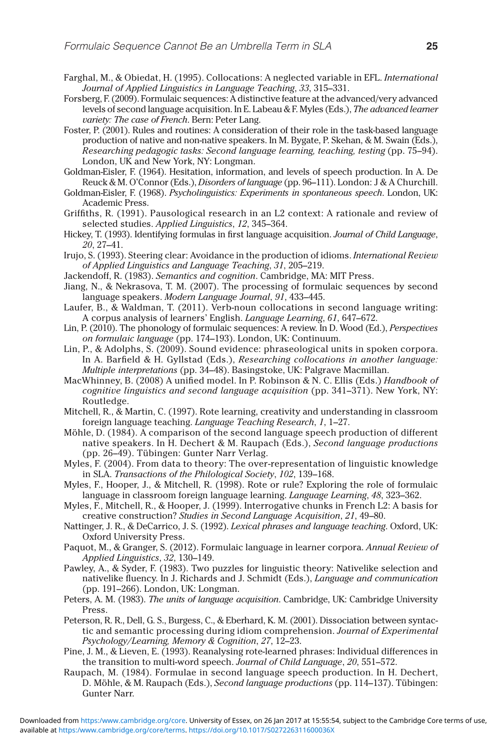- Farghal , M. , & Obiedat , H.( 1995 ). Collocations: A neglected variable in EFL . *International Journal of Applied Linguistics in Language Teaching*, *33*, 315 – 331 .
- Forsberg, F. (2009). Formulaic sequences: A distinctive feature at the advanced/very advanced levels of second language acquisition . In E. Labeau& F. Myles(Eds.), *The advanced learner variety: The case of French*. Bern: Peter Lang.
- Foster, P. (2001). Rules and routines: A consideration of their role in the task-based language production of native and non-native speakers. In M. Bygate, P. Skehan, & M. Swain (Eds.), *Researching pedagogic tasks: Second language learning, teaching, testing* (pp. 75 – 94 ). London, UK and New York, NY: Longman.
- Goldman-Eisler , F.( 1964 ). Hesitation, information, and levels of speech production . In A. De Reuck & M. O'Connor (Eds.), *Disorders of language* (pp. 96–111). London: J & A Churchill.
- Goldman-Eisler, F. (1968). *Psycholinguistics: Experiments in spontaneous speech*. London, UK: Academic Press.
- Griffiths, R. (1991). Pausological research in an L2 context: A rationale and review of selected studies. *Applied Linguistics*, 12, 345-364.
- Hickey, T. (1993). Identifying formulas in first language acquisition. *Journal of Child Language*, 20, 27-41.
- Irujo , S.( 1993 ). Steering clear: Avoidance in the production of idioms . *International Review of Applied Linguistics and Language Teaching*, *31*, 205 – 219 .
- Jackendoff, R. (1983). *Semantics and cognition*. Cambridge, MA: MIT Press.
- Jiang, N., & Nekrasova, T. M. (2007). The processing of formulaic sequences by second language speakers. Modern Language Journal, 91, 433-445.
- Laufer, B., & Waldman, T. (2011). Verb-noun collocations in second language writing: A corpus analysis of learners' English. *Language Learning*, 61, 647–672.
- Lin , P.( 2010 ). The phonology of formulaic sequences: A review . In D. Wood(Ed.), *Perspectives*  on formulaic language (pp. 174-193). London, UK: Continuum.
- Lin, P., & Adolphs, S. (2009). Sound evidence: phraseological units in spoken corpora. In A. Barfield & H. Gyllstad (Eds.), *Researching collocations in another language: Multiple interpretations* (pp. 34–48). Basingstoke, UK: Palgrave Macmillan.
- MacWhinney, B. (2008) A unified model. In P. Robinson & N. C. Ellis (Eds.) *Handbook of cognitive linguistics and second language acquisition* (pp. 341-371). New York, NY: Routledge .
- Mitchell, R., & Martin, C. (1997). Rote learning, creativity and understanding in classroom foreign language teaching. *Language Teaching Research*, 1, 1-27.
- Möhle, D. (1984). A comparison of the second language speech production of different native speakers . In H. Dechert& M. Raupach(Eds.), *Second language productions* (pp. 26-49). Tübingen: Gunter Narr Verlag.
- Myles, F. (2004). From data to theory: The over-representation of linguistic knowledge in SLA. *Transactions of the Philological Society*,  $102$ , 139-168.
- Myles, F., Hooper, J., & Mitchell, R. (1998). Rote or rule? Exploring the role of formulaic language in classroom foreign language learning. *Language Learning*, 48, 323–362.
- Myles, F., Mitchell, R., & Hooper, J. (1999). Interrogative chunks in French L2: A basis for creative construction? *Studies in Second Language Acquisition*, 21, 49-80.
- Nattinger , J. R. , & DeCarrico , J. S.( 1992 ). *Lexical phrases and language teaching*. Oxford, UK : Oxford University Press .
- Paquot , M. , & Granger , S.( 2012 ). Formulaic language in learner corpora . *Annual Review of Applied Linguistics*, *32*, 130 – 149 .
- Pawley, A., & Syder, F. (1983). Two puzzles for linguistic theory: Nativelike selection and nativelike fluency. In J. Richards and J. Schmidt (Eds.), *Language and communication* (pp. 191–266). London, UK: Longman.
- Peters, A. M. (1983). *The units of language acquisition*. Cambridge, UK: Cambridge University Press .
- Peterson, R. R., Dell, G. S., Burgess, C., & Eberhard, K. M. (2001). Dissociation between syntactic and semantic processing during idiom comprehension . *Journal of Experimental Psychology/Learning, Memory & Cognition, 27, 12-23.*
- Pine, J. M., & Lieven, E. (1993). Reanalysing rote-learned phrases: Individual differences in the transition to multi-word speech . *Journal of Child Language*, *20*, 551 – 572 .
- Raupach, M. (1984). Formulae in second language speech production. In H. Dechert, D. Möhle, & M. Raupach (Eds.), *Second language productions* (pp. 114–137). Tübingen: Gunter Narr.